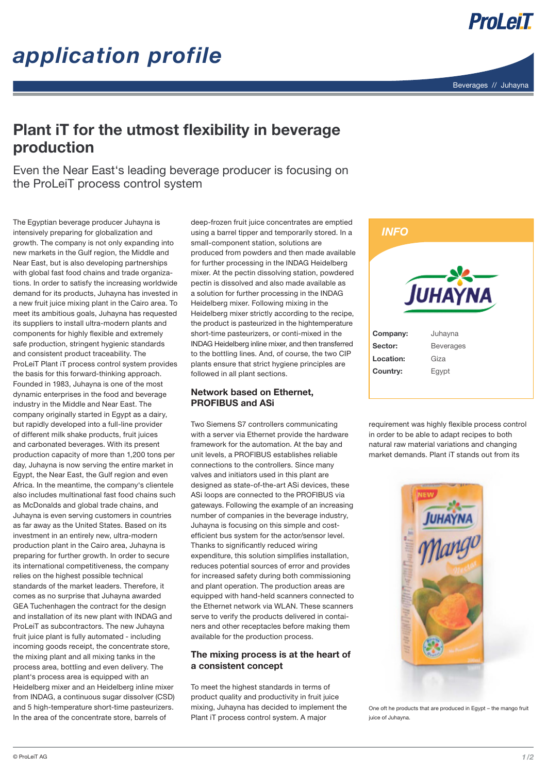



### Plant iT for the utmost flexibility in beverage production

Even the Near East's leading beverage producer is focusing on the ProLeiT process control system

The Egyptian beverage producer Juhayna is intensively preparing for globalization and growth. The company is not only expanding into new markets in the Gulf region, the Middle and Near East, but is also developing partnerships with global fast food chains and trade organizations. In order to satisfy the increasing worldwide demand for its products, Juhayna has invested in a new fruit juice mixing plant in the Cairo area. To meet its ambitious goals, Juhayna has requested its suppliers to install ultra-modern plants and components for highly flexible and extremely safe production, stringent hygienic standards and consistent product traceability. The ProLeiT Plant iT process control system provides the basis for this forward-thinking approach. Founded in 1983, Juhayna is one of the most dynamic enterprises in the food and beverage industry in the Middle and Near East. The company originally started in Egypt as a dairy, but rapidly developed into a full-line provider of different milk shake products, fruit juices and carbonated beverages. With its present production capacity of more than 1,200 tons per day, Juhayna is now serving the entire market in Egypt, the Near East, the Gulf region and even Africa. In the meantime, the company's clientele also includes multinational fast food chains such as McDonalds and global trade chains, and Juhayna is even serving customers in countries as far away as the United States. Based on its investment in an entirely new, ultra-modern production plant in the Cairo area, Juhayna is preparing for further growth. In order to secure its international competitiveness, the company relies on the highest possible technical standards of the market leaders. Therefore, it comes as no surprise that Juhayna awarded GEA Tuchenhagen the contract for the design and installation of its new plant with INDAG and ProLeiT as subcontractors. The new Juhayna fruit juice plant is fully automated - including incoming goods receipt, the concentrate store, the mixing plant and all mixing tanks in the process area, bottling and even delivery. The plant's process area is equipped with an Heidelberg mixer and an Heidelberg inline mixer from INDAG, a continuous sugar dissolver (CSD) and 5 high-temperature short-time pasteurizers. In the area of the concentrate store, barrels of

deep-frozen fruit juice concentrates are emptied using a barrel tipper and temporarily stored. In a small-component station, solutions are produced from powders and then made available for further processing in the INDAG Heidelberg mixer. At the pectin dissolving station, powdered pectin is dissolved and also made available as a solution for further processing in the INDAG Heidelberg mixer. Following mixing in the Heidelberg mixer strictly according to the recipe, the product is pasteurized in the hightemperature short-time pasteurizers, or conti-mixed in the INDAG Heidelberg inline mixer, and then transferred to the bottling lines. And, of course, the two CIP plants ensure that strict hygiene principles are followed in all plant sections.

### Network based on Ethernet, PROFIBUS and ASi

Two Siemens S7 controllers communicating with a server via Ethernet provide the hardware framework for the automation. At the bay and unit levels, a PROFIBUS establishes reliable connections to the controllers. Since many valves and initiators used in this plant are designed as state-of-the-art ASi devices, these ASi loops are connected to the PROFIBUS via gateways. Following the example of an increasing number of companies in the beverage industry, Juhayna is focusing on this simple and costefficient bus system for the actor/sensor level. Thanks to significantly reduced wiring expenditure, this solution simplifies installation, reduces potential sources of error and provides for increased safety during both commissioning and plant operation. The production areas are equipped with hand-held scanners connected to the Ethernet network via WLAN. These scanners serve to verify the products delivered in containers and other receptacles before making them available for the production process.

### The mixing process is at the heart of a consistent concept

To meet the highest standards in terms of product quality and productivity in fruit juice mixing, Juhayna has decided to implement the Plant iT process control system. A major



requirement was highly flexible process control in order to be able to adapt recipes to both natural raw material variations and changing market demands. Plant iT stands out from its



One oft he products that are produced in Egypt – the mango fruit juice of Juhayna.